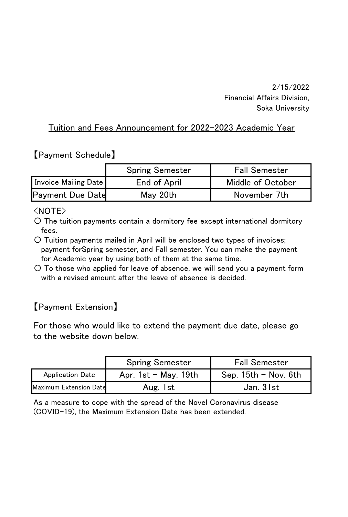2/15/2022 Financial Affairs Division, Soka University

#### Tuition and Fees Announcement for 2022-2023 Academic Year

### 【Payment Schedule】

|                      | <b>Spring Semester</b> | <b>Fall Semester</b> |
|----------------------|------------------------|----------------------|
| Invoice Mailing Date | End of April           | Middle of October    |
| Pavment Due Date     | Mav 20th               | November 7th         |

#### <NOTE>

〇 The tuition payments contain a dormitory fee except international dormitory fees.

〇 Tuition payments mailed in April will be enclosed two types of invoices; payment forSpring semester, and Fall semester. You can make the payment for Academic year by using both of them at the same time.

〇 To those who applied for leave of absence, we will send you a payment form with a revised amount after the leave of absence is decided.

## 【Payment Extension】

For those who would like to extend the payment due date, please go to the website down below.

|                         | Spring Semester          | <b>Fall Semester</b>     |
|-------------------------|--------------------------|--------------------------|
| <b>Application Date</b> | Apr. $1st$ – May. $19th$ | Sep. $15th$ – Nov. $6th$ |
| Maximum Extension Date  | Aug. 1st                 | Jan 31st                 |

As a measure to cope with the spread of the Novel Coronavirus disease (COVID-19), the Maximum Extension Date has been extended.